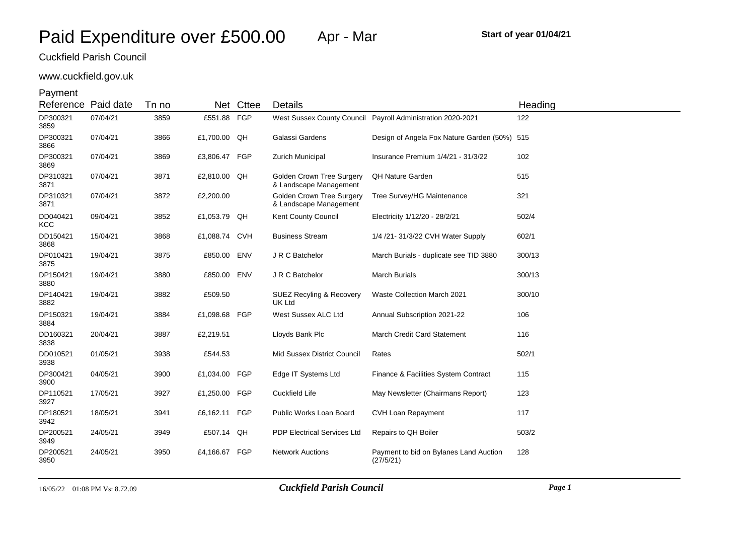# www.cuckfield.gov.uk

| Reference              | Paid date | Tn no | <b>Net</b>    | Cttee      | <b>Details</b>                                             |                                                             | Heading |
|------------------------|-----------|-------|---------------|------------|------------------------------------------------------------|-------------------------------------------------------------|---------|
| DP300321<br>3859       | 07/04/21  | 3859  | £551.88 FGP   |            |                                                            | West Sussex County Council Payroll Administration 2020-2021 | 122     |
| DP300321<br>3866       | 07/04/21  | 3866  | £1,700.00 QH  |            | Galassi Gardens                                            | Design of Angela Fox Nature Garden (50%) 515                |         |
| DP300321<br>3869       | 07/04/21  | 3869  | £3,806.47 FGP |            | Zurich Municipal                                           | Insurance Premium 1/4/21 - 31/3/22                          | 102     |
| DP310321<br>3871       | 07/04/21  | 3871  | £2,810.00 QH  |            | <b>Golden Crown Tree Surgery</b><br>& Landscape Management | <b>QH Nature Garden</b>                                     | 515     |
| DP310321<br>3871       | 07/04/21  | 3872  | £2,200.00     |            | <b>Golden Crown Tree Surgery</b><br>& Landscape Management | Tree Survey/HG Maintenance                                  | 321     |
| DD040421<br><b>KCC</b> | 09/04/21  | 3852  | £1,053.79 QH  |            | Kent County Council                                        | Electricity 1/12/20 - 28/2/21                               | 502/4   |
| DD150421<br>3868       | 15/04/21  | 3868  | £1,088.74     | CVH        | <b>Business Stream</b>                                     | 1/4 /21- 31/3/22 CVH Water Supply                           | 602/1   |
| DP010421<br>3875       | 19/04/21  | 3875  | £850.00 ENV   |            | J R C Batchelor                                            | March Burials - duplicate see TID 3880                      | 300/13  |
| DP150421<br>3880       | 19/04/21  | 3880  | £850.00 ENV   |            | J R C Batchelor                                            | <b>March Burials</b>                                        | 300/13  |
| DP140421<br>3882       | 19/04/21  | 3882  | £509.50       |            | <b>SUEZ Recyling &amp; Recovery</b><br>UK Ltd              | Waste Collection March 2021                                 | 300/10  |
| DP150321<br>3884       | 19/04/21  | 3884  | £1,098.68 FGP |            | West Sussex ALC Ltd                                        | Annual Subscription 2021-22                                 | 106     |
| DD160321<br>3838       | 20/04/21  | 3887  | £2,219.51     |            | Lloyds Bank Plc                                            | March Credit Card Statement                                 | 116     |
| DD010521<br>3938       | 01/05/21  | 3938  | £544.53       |            | Mid Sussex District Council                                | Rates                                                       | 502/1   |
| DP300421<br>3900       | 04/05/21  | 3900  | £1,034.00     | FGP        | Edge IT Systems Ltd                                        | Finance & Facilities System Contract                        | 115     |
| DP110521<br>3927       | 17/05/21  | 3927  | £1,250.00     | <b>FGP</b> | Cuckfield Life                                             | May Newsletter (Chairmans Report)                           | 123     |
| DP180521<br>3942       | 18/05/21  | 3941  | £6,162.11     | <b>FGP</b> | Public Works Loan Board                                    | CVH Loan Repayment                                          | 117     |
| DP200521<br>3949       | 24/05/21  | 3949  | £507.14 QH    |            | <b>PDP Electrical Services Ltd</b>                         | Repairs to QH Boiler                                        | 503/2   |
| DP200521<br>3950       | 24/05/21  | 3950  | £4,166.67     | FGP        | <b>Network Auctions</b>                                    | Payment to bid on Bylanes Land Auction<br>(27/5/21)         | 128     |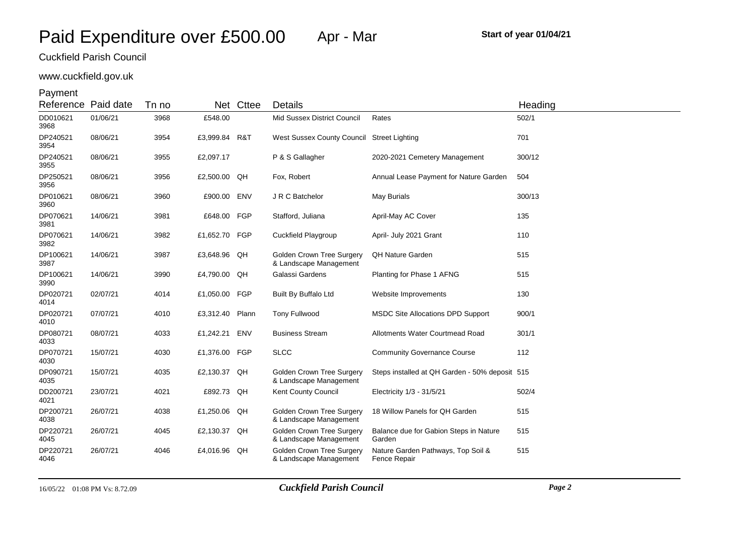# www.cuckfield.gov.uk

| Reference Paid date |          | Tn no | Net           | Cttee | Details                                                    |                                                    | Heading |
|---------------------|----------|-------|---------------|-------|------------------------------------------------------------|----------------------------------------------------|---------|
| DD010621<br>3968    | 01/06/21 | 3968  | £548.00       |       | Mid Sussex District Council                                | Rates                                              | 502/1   |
| DP240521<br>3954    | 08/06/21 | 3954  | £3,999.84     | R&T   | West Sussex County Council Street Lighting                 |                                                    | 701     |
| DP240521<br>3955    | 08/06/21 | 3955  | £2,097.17     |       | P & S Gallagher                                            | 2020-2021 Cemetery Management                      | 300/12  |
| DP250521<br>3956    | 08/06/21 | 3956  | £2,500.00 QH  |       | Fox, Robert                                                | Annual Lease Payment for Nature Garden             | 504     |
| DP010621<br>3960    | 08/06/21 | 3960  | £900.00       | ENV   | J R C Batchelor                                            | May Burials                                        | 300/13  |
| DP070621<br>3981    | 14/06/21 | 3981  | £648.00       | FGP   | Stafford, Juliana                                          | April-May AC Cover                                 | 135     |
| DP070621<br>3982    | 14/06/21 | 3982  | £1,652.70     | FGP   | Cuckfield Playgroup                                        | April- July 2021 Grant                             | 110     |
| DP100621<br>3987    | 14/06/21 | 3987  | £3,648.96 QH  |       | Golden Crown Tree Surgery<br>& Landscape Management        | <b>QH Nature Garden</b>                            | 515     |
| DP100621<br>3990    | 14/06/21 | 3990  | £4,790.00 QH  |       | Galassi Gardens                                            | Planting for Phase 1 AFNG                          | 515     |
| DP020721<br>4014    | 02/07/21 | 4014  | £1,050.00 FGP |       | Built By Buffalo Ltd                                       | Website Improvements                               | 130     |
| DP020721<br>4010    | 07/07/21 | 4010  | £3,312.40     | Plann | <b>Tony Fullwood</b>                                       | <b>MSDC Site Allocations DPD Support</b>           | 900/1   |
| DP080721<br>4033    | 08/07/21 | 4033  | £1,242.21     | ENV   | <b>Business Stream</b>                                     | Allotments Water Courtmead Road                    | 301/1   |
| DP070721<br>4030    | 15/07/21 | 4030  | £1,376.00     | FGP   | <b>SLCC</b>                                                | <b>Community Governance Course</b>                 | 112     |
| DP090721<br>4035    | 15/07/21 | 4035  | £2,130.37 QH  |       | <b>Golden Crown Tree Surgery</b><br>& Landscape Management | Steps installed at QH Garden - 50% deposit 515     |         |
| DD200721<br>4021    | 23/07/21 | 4021  | £892.73 QH    |       | Kent County Council                                        | Electricity 1/3 - 31/5/21                          | 502/4   |
| DP200721<br>4038    | 26/07/21 | 4038  | £1,250.06     | QH    | Golden Crown Tree Surgery<br>& Landscape Management        | 18 Willow Panels for QH Garden                     | 515     |
| DP220721<br>4045    | 26/07/21 | 4045  | £2,130.37     | QH    | <b>Golden Crown Tree Surgery</b><br>& Landscape Management | Balance due for Gabion Steps in Nature<br>Garden   | 515     |
| DP220721<br>4046    | 26/07/21 | 4046  | £4,016.96     | QH    | <b>Golden Crown Tree Surgery</b><br>& Landscape Management | Nature Garden Pathways, Top Soil &<br>Fence Repair | 515     |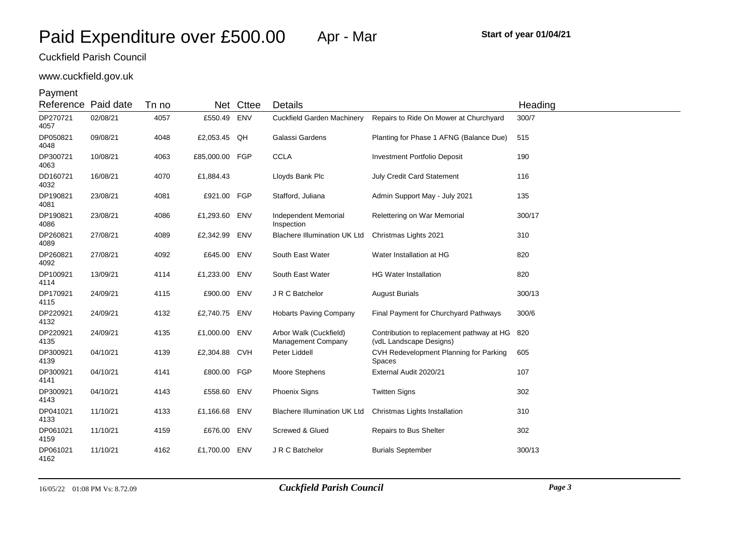# www.cuckfield.gov.uk

| Reference        | Paid date | Tn no |                | Net Cttee | Details                                      |                                                                      | Heading |
|------------------|-----------|-------|----------------|-----------|----------------------------------------------|----------------------------------------------------------------------|---------|
| DP270721<br>4057 | 02/08/21  | 4057  | £550.49 ENV    |           | <b>Cuckfield Garden Machinery</b>            | Repairs to Ride On Mower at Churchyard                               | 300/7   |
| DP050821<br>4048 | 09/08/21  | 4048  | £2,053.45 QH   |           | Galassi Gardens                              | Planting for Phase 1 AFNG (Balance Due)                              | 515     |
| DP300721<br>4063 | 10/08/21  | 4063  | £85,000.00 FGP |           | <b>CCLA</b>                                  | <b>Investment Portfolio Deposit</b>                                  | 190     |
| DD160721<br>4032 | 16/08/21  | 4070  | £1,884.43      |           | Lloyds Bank Plc                              | July Credit Card Statement                                           | 116     |
| DP190821<br>4081 | 23/08/21  | 4081  | £921.00 FGP    |           | Stafford, Juliana                            | Admin Support May - July 2021                                        | 135     |
| DP190821<br>4086 | 23/08/21  | 4086  | £1,293.60 ENV  |           | Independent Memorial<br>Inspection           | Relettering on War Memorial                                          | 300/17  |
| DP260821<br>4089 | 27/08/21  | 4089  | £2,342.99 ENV  |           | <b>Blachere Illumination UK Ltd</b>          | Christmas Lights 2021                                                | 310     |
| DP260821<br>4092 | 27/08/21  | 4092  | £645.00 ENV    |           | South East Water                             | Water Installation at HG                                             | 820     |
| DP100921<br>4114 | 13/09/21  | 4114  | £1,233.00 ENV  |           | South East Water                             | <b>HG Water Installation</b>                                         | 820     |
| DP170921<br>4115 | 24/09/21  | 4115  | £900.00 ENV    |           | J R C Batchelor                              | <b>August Burials</b>                                                | 300/13  |
| DP220921<br>4132 | 24/09/21  | 4132  | £2,740.75 ENV  |           | <b>Hobarts Paving Company</b>                | Final Payment for Churchyard Pathways                                | 300/6   |
| DP220921<br>4135 | 24/09/21  | 4135  | £1,000.00 ENV  |           | Arbor Walk (Cuckfield)<br>Management Company | Contribution to replacement pathway at HG<br>(vdL Landscape Designs) | 820     |
| DP300921<br>4139 | 04/10/21  | 4139  | £2,304.88 CVH  |           | Peter Liddell                                | CVH Redevelopment Planning for Parking<br>Spaces                     | 605     |
| DP300921<br>4141 | 04/10/21  | 4141  | £800.00 FGP    |           | Moore Stephens                               | External Audit 2020/21                                               | 107     |
| DP300921<br>4143 | 04/10/21  | 4143  | £558.60 ENV    |           | <b>Phoenix Signs</b>                         | <b>Twitten Signs</b>                                                 | 302     |
| DP041021<br>4133 | 11/10/21  | 4133  | £1,166.68 ENV  |           | <b>Blachere Illumination UK Ltd</b>          | Christmas Lights Installation                                        | 310     |
| DP061021<br>4159 | 11/10/21  | 4159  | £676.00 ENV    |           | Screwed & Glued                              | <b>Repairs to Bus Shelter</b>                                        | 302     |
| DP061021<br>4162 | 11/10/21  | 4162  | £1,700.00 ENV  |           | J R C Batchelor                              | <b>Burials September</b>                                             | 300/13  |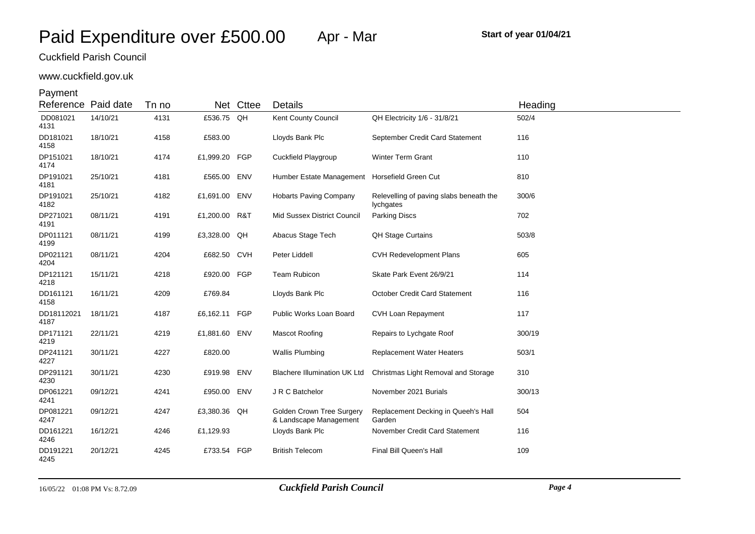## www.cuckfield.gov.uk

| Reference Paid date |          | Tn no | Net           | Cttee | Details                                                    |                                                      | Heading |
|---------------------|----------|-------|---------------|-------|------------------------------------------------------------|------------------------------------------------------|---------|
| DD081021<br>4131    | 14/10/21 | 4131  | £536.75 QH    |       | Kent County Council                                        | QH Electricity 1/6 - 31/8/21                         | 502/4   |
| DD181021<br>4158    | 18/10/21 | 4158  | £583.00       |       | Lloyds Bank Plc                                            | September Credit Card Statement                      | 116     |
| DP151021<br>4174    | 18/10/21 | 4174  | £1,999.20 FGP |       | Cuckfield Playgroup                                        | <b>Winter Term Grant</b>                             | 110     |
| DP191021<br>4181    | 25/10/21 | 4181  | £565.00 ENV   |       | Humber Estate Management                                   | Horsefield Green Cut                                 | 810     |
| DP191021<br>4182    | 25/10/21 | 4182  | £1,691.00 ENV |       | <b>Hobarts Paving Company</b>                              | Relevelling of paving slabs beneath the<br>lychgates | 300/6   |
| DP271021<br>4191    | 08/11/21 | 4191  | £1,200.00 R&T |       | Mid Sussex District Council                                | <b>Parking Discs</b>                                 | 702     |
| DP011121<br>4199    | 08/11/21 | 4199  | £3,328.00 QH  |       | Abacus Stage Tech                                          | <b>QH Stage Curtains</b>                             | 503/8   |
| DP021121<br>4204    | 08/11/21 | 4204  | £682.50 CVH   |       | Peter Liddell                                              | <b>CVH Redevelopment Plans</b>                       | 605     |
| DP121121<br>4218    | 15/11/21 | 4218  | £920.00 FGP   |       | Team Rubicon                                               | Skate Park Event 26/9/21                             | 114     |
| DD161121<br>4158    | 16/11/21 | 4209  | £769.84       |       | Lloyds Bank Plc                                            | October Credit Card Statement                        | 116     |
| DD18112021<br>4187  | 18/11/21 | 4187  | £6,162.11 FGP |       | Public Works Loan Board                                    | <b>CVH Loan Repayment</b>                            | 117     |
| DP171121<br>4219    | 22/11/21 | 4219  | £1,881.60 ENV |       | <b>Mascot Roofing</b>                                      | Repairs to Lychgate Roof                             | 300/19  |
| DP241121<br>4227    | 30/11/21 | 4227  | £820.00       |       | <b>Wallis Plumbing</b>                                     | <b>Replacement Water Heaters</b>                     | 503/1   |
| DP291121<br>4230    | 30/11/21 | 4230  | £919.98 ENV   |       | <b>Blachere Illumination UK Ltd</b>                        | Christmas Light Removal and Storage                  | 310     |
| DP061221<br>4241    | 09/12/21 | 4241  | £950.00 ENV   |       | J R C Batchelor                                            | November 2021 Burials                                | 300/13  |
| DP081221<br>4247    | 09/12/21 | 4247  | £3,380.36 QH  |       | <b>Golden Crown Tree Surgery</b><br>& Landscape Management | Replacement Decking in Queeh's Hall<br>Garden        | 504     |
| DD161221<br>4246    | 16/12/21 | 4246  | £1,129.93     |       | Lloyds Bank Plc                                            | November Credit Card Statement                       | 116     |
| DD191221<br>4245    | 20/12/21 | 4245  | £733.54 FGP   |       | <b>British Telecom</b>                                     | Final Bill Queen's Hall                              | 109     |